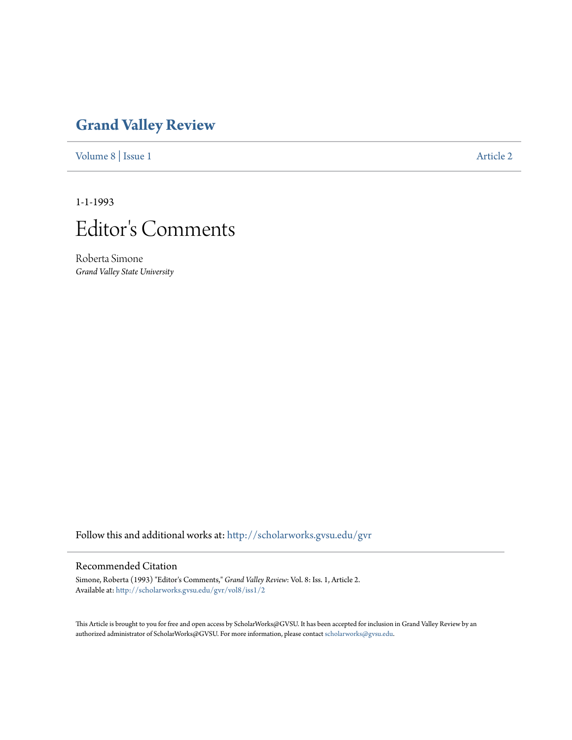## **[Grand Valley Review](http://scholarworks.gvsu.edu/gvr?utm_source=scholarworks.gvsu.edu%2Fgvr%2Fvol8%2Fiss1%2F2&utm_medium=PDF&utm_campaign=PDFCoverPages)**

[Volume 8](http://scholarworks.gvsu.edu/gvr/vol8?utm_source=scholarworks.gvsu.edu%2Fgvr%2Fvol8%2Fiss1%2F2&utm_medium=PDF&utm_campaign=PDFCoverPages) | [Issue 1](http://scholarworks.gvsu.edu/gvr/vol8/iss1?utm_source=scholarworks.gvsu.edu%2Fgvr%2Fvol8%2Fiss1%2F2&utm_medium=PDF&utm_campaign=PDFCoverPages) [Article 2](http://scholarworks.gvsu.edu/gvr/vol8/iss1/2?utm_source=scholarworks.gvsu.edu%2Fgvr%2Fvol8%2Fiss1%2F2&utm_medium=PDF&utm_campaign=PDFCoverPages)

1-1-1993



Roberta Simone *Grand Valley State University*

Follow this and additional works at: [http://scholarworks.gvsu.edu/gvr](http://scholarworks.gvsu.edu/gvr?utm_source=scholarworks.gvsu.edu%2Fgvr%2Fvol8%2Fiss1%2F2&utm_medium=PDF&utm_campaign=PDFCoverPages)

## Recommended Citation

Simone, Roberta (1993) "Editor's Comments," *Grand Valley Review*: Vol. 8: Iss. 1, Article 2. Available at: [http://scholarworks.gvsu.edu/gvr/vol8/iss1/2](http://scholarworks.gvsu.edu/gvr/vol8/iss1/2?utm_source=scholarworks.gvsu.edu%2Fgvr%2Fvol8%2Fiss1%2F2&utm_medium=PDF&utm_campaign=PDFCoverPages)

This Article is brought to you for free and open access by ScholarWorks@GVSU. It has been accepted for inclusion in Grand Valley Review by an authorized administrator of ScholarWorks@GVSU. For more information, please contact [scholarworks@gvsu.edu.](mailto:scholarworks@gvsu.edu)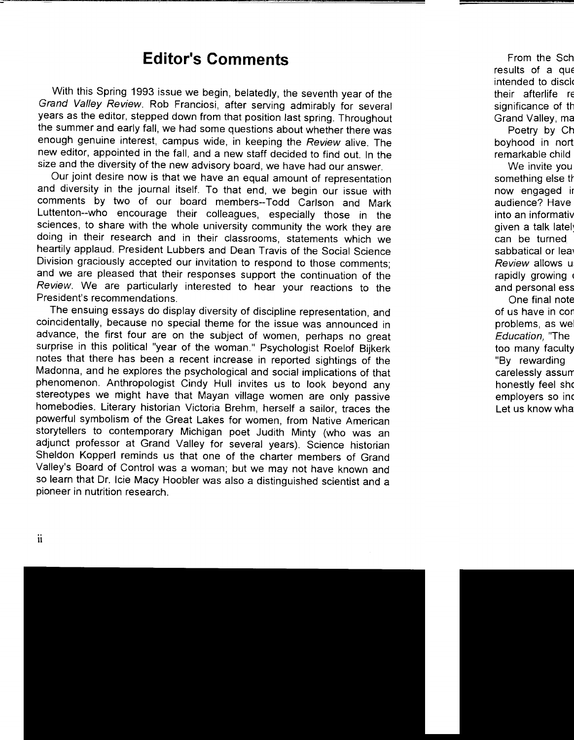## **Editor's Comments**

With this Spring 1993 issue we begin, belatedly, the seventh year of the Grand Valley Review. Rob Franciosi, after serving admirably for several years as the editor, stepped down from that position last spring. Throughout the summer and early fall, we had some questions about whether there was enough genuine interest, campus wide, in keeping the Review alive. The new editor, appointed in the fall, and a new staff decided to find out. In the size and the diversity of the new advisory board, we have had our answer.

Our joint desire now is that we have an equal amount of representation and diversity in the journal itself. To that end, we begin our issue with comments by two of our board members--Todd Carlson and Mark Luttenton--who encourage their colleagues, especially those in the sciences, to share with the whole university community the work they are doing in their research and in their classrooms, statements which we heartily applaud. President Lubbers and Dean Travis of the Social Science Division graciously accepted our invitation to respond to those comments; and we are pleased that their responses support the continuation of the Review. We are particularly interested to hear your reactions to the President's recommendations.

The ensuing essays do display diversity of discipline representation, and coincidentally, because no special theme for the issue was announced in advance, the first four are on the subject of women, perhaps no great surprise in this political "year of the woman." Psychologist Roelof Bijkerk notes that there has been a recent increase in reported sightings of the Madonna, and he explores the psychological and social implications of that phenomenon. Anthropologist Cindy Hull invites us to look beyond any stereotypes we might have that Mayan village women are only passive homebodies. Literary historian Victoria Brehm, herself a sailor, traces the powerful symbolism of the Great Lakes for women, from Native American storytellers to contemporary Michigan poet Judith Minty (who was an adjunct professor at Grand Valley for several years). Science historian Sheldon Kopperl reminds us that one of the charter members of Grand Valley's Board of Control was a woman; but we may not have known and so learn that Dr. lcie Macy Hoobler was also a distinguished scientist and a pioneer in nutrition research.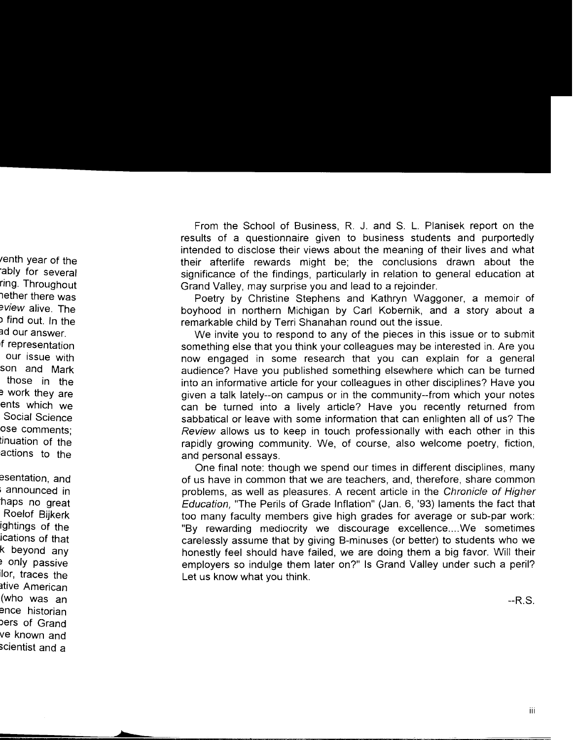From the School of Business, R. J. and S. L. Planisek report on the results of a questionnaire given to business students and purportedly intended to disclose their views about the meaning of their lives and what their afterlife rewards might be; the conclusions drawn about the significance of the findings, particularly in relation to general education at Grand Valley, may surprise you and lead to a rejoinder.

Poetry by Christine Stephens and Kathryn Waggoner, a memoir of boyhood in northern Michigan by Carl Kobernik, and a story about a remarkable child by Terri Shanahan round out the issue.

We invite you to respond to any of the pieces in this issue or to submit something else that you think your colleagues may be interested in. Are you now engaged in some research that you can explain for a general audience? Have you published something elsewhere which can be turned into an informative article for your colleagues in other disciplines? Have you given a talk lately--on campus or in the community--from which your notes can be turned into a lively article? Have you recently returned from sabbatical or leave with some information that can enlighten all of us? The *Review* allows us to keep in touch professionally with each other in this rapidly growing community. We, of course, also welcome poetry, fiction, and personal essays.

One final note: though we spend our times in different disciplines, many of us have in common that we are teachers, and, therefore, share common problems, as well as pleasures. A recent article in the Chronicle of Higher Education, "The Perils of Grade Inflation" (Jan. 6, '93) laments the fact that too many faculty members give high grades for average or sub-par work: "By rewarding mediocrity we discourage excellence .... We sometimes carelessly assume that by giving B-minuses (or better) to students who we honestly feel should have failed, we are doing them a big favor. Will their employers so indulge them later on?" Is Grand Valley under such a peril? Let us know what you think.

--R.S.